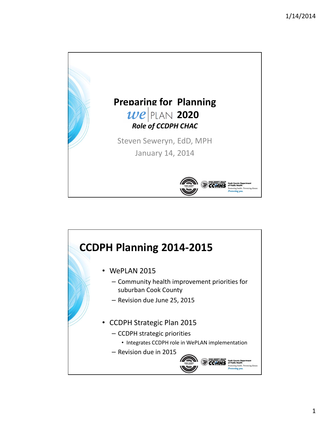

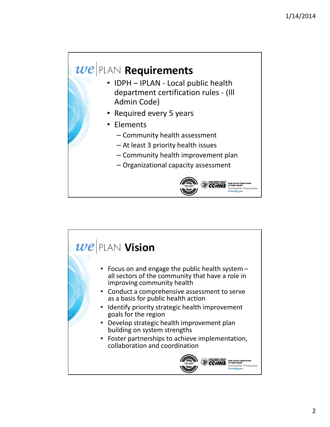## $\vert\mathcal{W}\mathcal{C}\vert$ PLAN Requirements

- IDPH IPLAN Local public health department certification rules - (Ill Admin Code)
- Required every 5 years
- Elements
	- Community health assessment
	- At least 3 priority health issues
	- Community health improvement plan
	- Organizational capacity assessment



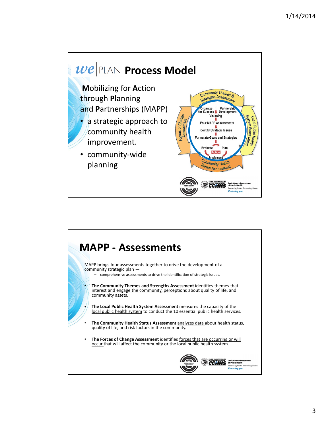

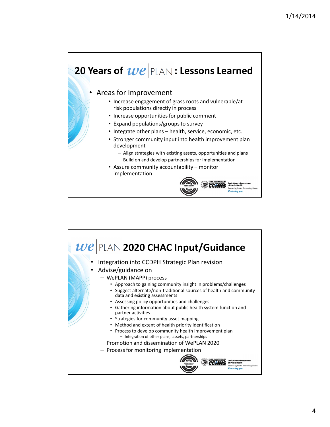## 20 Years of  $\boldsymbol{w}\boldsymbol{e}$  PLAN: Lessons Learned

## • Areas for improvement

- Increase engagement of grass roots and vulnerable/at risk populations directly in process
- Increase opportunities for public comment
- Expand populations/groups to survey
- Integrate other plans health, service, economic, etc.
- Stronger community input into health improvement plan development
	- Align strategies with existing assets, opportunities and plans
	- Build on and develop partnerships for implementation
- Assure community accountability monitor implementation